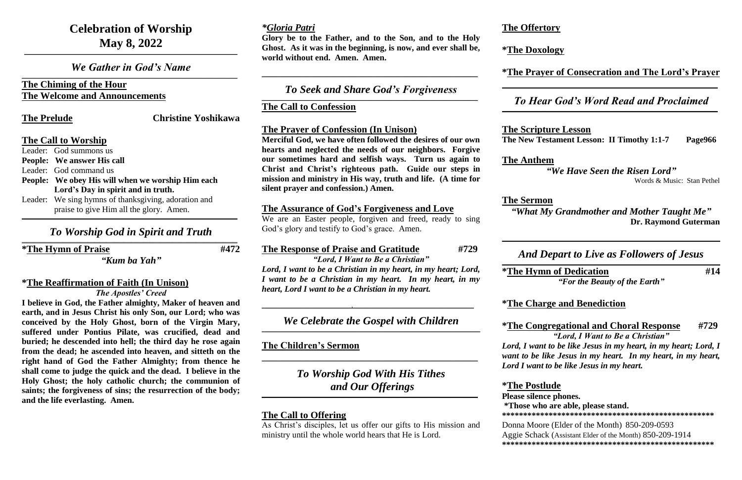## **Celebration of Worship May 8, 2022**

*We Gather in God's Name*  $\mathcal{L}_\mathcal{L} = \mathcal{L}_\mathcal{L} = \mathcal{L}_\mathcal{L} = \mathcal{L}_\mathcal{L} = \mathcal{L}_\mathcal{L} = \mathcal{L}_\mathcal{L} = \mathcal{L}_\mathcal{L} = \mathcal{L}_\mathcal{L} = \mathcal{L}_\mathcal{L} = \mathcal{L}_\mathcal{L} = \mathcal{L}_\mathcal{L} = \mathcal{L}_\mathcal{L} = \mathcal{L}_\mathcal{L} = \mathcal{L}_\mathcal{L} = \mathcal{L}_\mathcal{L} = \mathcal{L}_\mathcal{L} = \mathcal{L}_\mathcal{L}$ 

**\_\_\_\_\_\_\_\_\_\_\_\_\_\_\_\_\_\_\_\_\_\_\_\_\_\_\_\_\_\_\_\_\_\_\_\_\_\_\_\_\_\_\_\_\_\_\_\_\_\_\_\_\_\_\_\_\_\_\_\_\_\_\_\_\_\_\_\_\_\_\_\_\_\_\_\_\_\_\_\_\_\_\_\_\_\_\_\_**

#### **The Chiming of the Hour The Welcome and Announcements**

**The Prelude Christine Yoshikawa**

#### **The Call to Worship**

#### *To Worship God in Spirit and Truth*  $\mathcal{L}_\mathcal{L} = \mathcal{L}_\mathcal{L} = \mathcal{L}_\mathcal{L} = \mathcal{L}_\mathcal{L} = \mathcal{L}_\mathcal{L} = \mathcal{L}_\mathcal{L} = \mathcal{L}_\mathcal{L} = \mathcal{L}_\mathcal{L} = \mathcal{L}_\mathcal{L} = \mathcal{L}_\mathcal{L} = \mathcal{L}_\mathcal{L} = \mathcal{L}_\mathcal{L} = \mathcal{L}_\mathcal{L} = \mathcal{L}_\mathcal{L} = \mathcal{L}_\mathcal{L} = \mathcal{L}_\mathcal{L} = \mathcal{L}_\mathcal{L}$

Leader: God summons us **People: We answer His call** Leader: God command us **People: We obey His will when we worship Him each Lord's Day in spirit and in truth.** Leader: We sing hymns of thanksgiving, adoration and praise to give Him all the glory. Amen.

**\_\_\_\_\_\_\_\_\_\_\_\_\_\_\_\_\_\_\_\_\_\_\_\_\_\_\_\_\_\_\_\_\_\_\_\_\_\_\_\_\_\_\_\_\_\_\_\_\_\_\_\_\_\_\_\_\_\_\_\_\_\_\_\_\_\_\_\_\_\_\_\_\_\_\_\_\_\_\_\_\_\_\_\_\_\_\_\_\_**

**\*The Hymn of Praise #472**

*"Kum ba Yah"*

#### **\*The Reaffirmation of Faith (In Unison)** *The Apostles' Creed*

*To Seek and Share God's Forgiveness*  $\mathcal{L}_\mathcal{L} = \mathcal{L}_\mathcal{L} = \mathcal{L}_\mathcal{L} = \mathcal{L}_\mathcal{L} = \mathcal{L}_\mathcal{L} = \mathcal{L}_\mathcal{L} = \mathcal{L}_\mathcal{L} = \mathcal{L}_\mathcal{L} = \mathcal{L}_\mathcal{L} = \mathcal{L}_\mathcal{L} = \mathcal{L}_\mathcal{L} = \mathcal{L}_\mathcal{L} = \mathcal{L}_\mathcal{L} = \mathcal{L}_\mathcal{L} = \mathcal{L}_\mathcal{L} = \mathcal{L}_\mathcal{L} = \mathcal{L}_\mathcal{L}$ 

**I believe in God, the Father almighty, Maker of heaven and earth, and in Jesus Christ his only Son, our Lord; who was conceived by the Holy Ghost, born of the Virgin Mary, suffered under Pontius Pilate, was crucified, dead and buried; he descended into hell; the third day he rose again from the dead; he ascended into heaven, and sitteth on the right hand of God the Father Almighty; from thence he shall come to judge the quick and the dead. I believe in the Holy Ghost; the holy catholic church; the communion of saints; the forgiveness of sins; the resurrection of the body; and the life everlasting. Amen.**

We are an Easter people, forgiven and freed, ready to sing God's glory and testify to God's grace. Amen.

*To Worship God With His Tithes and Our Offerings*  $\mathcal{L}_\mathcal{L} = \mathcal{L}_\mathcal{L} = \mathcal{L}_\mathcal{L} = \mathcal{L}_\mathcal{L} = \mathcal{L}_\mathcal{L} = \mathcal{L}_\mathcal{L} = \mathcal{L}_\mathcal{L} = \mathcal{L}_\mathcal{L} = \mathcal{L}_\mathcal{L} = \mathcal{L}_\mathcal{L} = \mathcal{L}_\mathcal{L} = \mathcal{L}_\mathcal{L} = \mathcal{L}_\mathcal{L} = \mathcal{L}_\mathcal{L} = \mathcal{L}_\mathcal{L} = \mathcal{L}_\mathcal{L} = \mathcal{L}_\mathcal{L}$ 

#### *\*Gloria Patri*

**Glory be to the Father, and to the Son, and to the Holy Ghost. As it was in the beginning, is now, and ever shall be, world without end. Amen. Amen.**

**\_\_\_\_\_\_\_\_\_\_\_\_\_\_\_\_\_\_\_\_\_\_\_\_\_\_\_\_\_\_\_\_\_\_\_\_\_\_\_\_\_\_\_\_\_\_\_\_\_\_\_\_\_\_\_\_\_\_\_\_\_\_\_\_\_\_\_\_\_\_\_\_\_\_\_\_\_\_\_\_\_\_\_\_\_\_\_\_\_**

**The Call to Confession**

#### **The Prayer of Confession (In Unison)**

**Merciful God, we have often followed the desires of our own hearts and neglected the needs of our neighbors. Forgive our sometimes hard and selfish ways. Turn us again to Christ and Christ's righteous path. Guide our steps in mission and ministry in His way, truth and life. (A time for silent prayer and confession.) Amen.**

#### **The Assurance of God's Forgiveness and Love**

#### **The Response of Praise and Gratitude #729**

*"Lord, I Want to Be a Christian" Lord, I want to be a Christian in my heart, in my heart; Lord, I want to be a Christian in my heart. In my heart, in my* 

*heart, Lord I want to be a Christian in my heart.*

**\_\_\_\_\_\_\_\_\_\_\_\_\_\_\_\_\_\_\_\_\_\_\_\_\_\_\_\_\_\_\_\_\_\_\_\_\_,\_\_\_\_\_\_\_\_\_\_\_\_\_\_\_\_\_\_\_\_\_\_\_\_\_\_\_\_\_\_\_\_\_\_\_\_\_\_\_\_\_\_\_\_\_\_\_\_\_\_**

### *We Celebrate the Gospel with Children* **\_\_\_\_\_\_\_\_\_\_\_\_\_\_\_\_\_\_\_\_\_\_\_\_\_\_\_\_\_\_\_\_\_\_\_\_\_\_\_\_\_\_\_\_\_\_\_\_\_\_\_\_\_\_\_\_\_\_\_\_\_\_\_\_\_\_\_\_\_\_\_\_\_\_\_\_\_\_\_\_\_\_\_\_\_\_\_\_\_\_**

**The Children's Sermon**

**\_\_\_\_\_\_\_\_\_\_\_\_\_\_\_\_\_\_\_\_\_\_\_\_\_\_\_\_\_\_\_\_\_\_\_\_\_\_\_\_\_\_\_\_\_\_\_\_\_\_\_\_\_\_\_\_\_\_\_\_\_\_\_\_\_\_\_\_\_\_\_\_\_\_\_\_\_\_\_\_\_\_\_\_\_\_\_\_\_**

### **The Call to Offering**

As Christ's disciples, let us offer our gifts to His mission and ministry until the whole world hears that He is Lord.

### **The Offertory**

# **\*The Doxology**

#### **\*The Prayer of Consecration and The Lord's Prayer**

**\_\_\_\_\_\_\_\_\_\_\_\_\_\_\_\_\_\_\_\_\_\_\_\_\_\_\_\_\_\_\_\_\_\_\_\_\_\_\_\_\_\_\_\_\_\_\_\_\_\_\_\_\_\_\_\_\_\_\_\_\_\_\_\_\_\_\_\_\_\_\_\_\_\_\_\_\_\_\_\_\_\_\_\_\_\_\_\_\_**

#### *To Hear God's Word Read and Proclaimed*

#### **The Scripture Lesson**

**The New Testament Lesson: II Timothy 1:1-7 Page966**

**The Anthem**

 $\mathcal{L}_\mathcal{L} = \mathcal{L}_\mathcal{L} = \mathcal{L}_\mathcal{L} = \mathcal{L}_\mathcal{L} = \mathcal{L}_\mathcal{L} = \mathcal{L}_\mathcal{L} = \mathcal{L}_\mathcal{L} = \mathcal{L}_\mathcal{L} = \mathcal{L}_\mathcal{L} = \mathcal{L}_\mathcal{L} = \mathcal{L}_\mathcal{L} = \mathcal{L}_\mathcal{L} = \mathcal{L}_\mathcal{L} = \mathcal{L}_\mathcal{L} = \mathcal{L}_\mathcal{L} = \mathcal{L}_\mathcal{L} = \mathcal{L}_\mathcal{L}$ 

*"We Have Seen the Risen Lord"* Words & Music: Stan Pethel

#### **The Sermon**

#### *"What My Grandmother and Mother Taught Me"*  **Dr. Raymond Guterman**

**\_\_\_\_\_\_\_\_\_\_\_\_\_\_\_\_\_\_\_\_\_\_\_\_\_\_\_\_\_\_\_\_\_\_\_\_\_\_\_\_\_\_\_\_\_\_\_\_\_\_\_\_\_\_\_\_\_\_\_\_\_\_\_\_\_\_\_\_\_\_\_\_\_\_\_\_\_\_\_\_\_\_\_\_\_\_\_\_\_\_**

#### *And Depart to Live as Followers of Jesus*

**\_\_\_\_\_\_\_\_\_\_\_\_\_\_\_\_\_\_\_\_\_\_\_\_\_\_\_\_\_\_\_\_\_\_\_\_\_\_\_\_\_\_\_\_\_\_\_\_\_\_\_\_\_\_\_\_\_\_\_\_\_\_\_\_\_\_\_\_\_\_\_\_\_\_\_\_\_\_\_\_\_\_\_\_\_\_\_\_\_\_**

#### **\*The Hymn of Dedication #14**

*"For the Beauty of the Earth"*

#### **\*The Charge and Benediction**

#### **\*The Congregational and Choral Response #729** *"Lord, I Want to Be a Christian"*

*Lord, I want to be like Jesus in my heart, in my heart; Lord, I want to be like Jesus in my heart. In my heart, in my heart, Lord I want to be like Jesus in my heart.*

**\*The Postlude Please silence phones.** 

# **\*Those who are able, please stand.**

**\*\*\*\*\*\*\*\*\*\*\*\*\*\*\*\*\*\*\*\*\*\*\*\*\*\*\*\*\*\*\*\*\*\*\*\*\*\*\*\*\*\*\*\*\*\*\*\*\*\***

Donna Moore (Elder of the Month) 850-209-0593 Aggie Schack (Assistant Elder of the Month) 850-209-1914 **\*\*\*\*\*\*\*\*\*\*\*\*\*\*\*\*\*\*\*\*\*\*\*\*\*\*\*\*\*\*\*\*\*\*\*\*\*\*\*\*\*\*\*\*\*\*\*\*\*\***